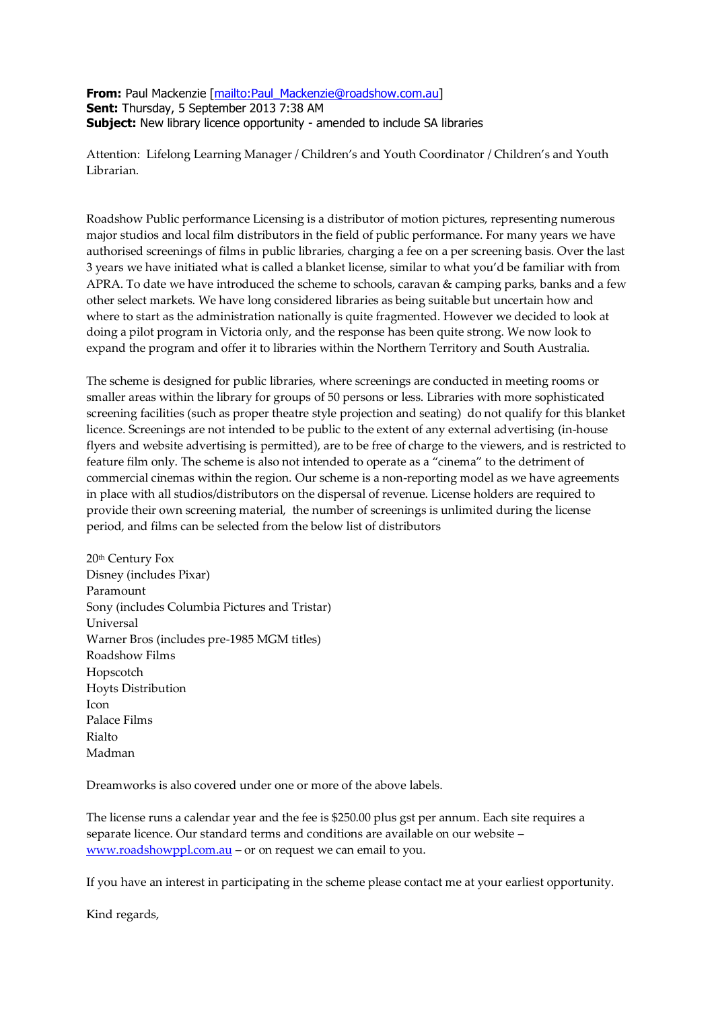**From:** Paul Mackenzie [\[mailto:Paul\\_Mackenzie@roadshow.com.au\]](mailto:Paul_Mackenzie@roadshow.com.au) **Sent:** Thursday, 5 September 2013 7:38 AM **Subject:** New library licence opportunity - amended to include SA libraries

Attention: Lifelong Learning Manager / Children's and Youth Coordinator / Children's and Youth Librarian.

Roadshow Public performance Licensing is a distributor of motion pictures, representing numerous major studios and local film distributors in the field of public performance. For many years we have authorised screenings of films in public libraries, charging a fee on a per screening basis. Over the last 3 years we have initiated what is called a blanket license, similar to what you'd be familiar with from APRA. To date we have introduced the scheme to schools, caravan & camping parks, banks and a few other select markets. We have long considered libraries as being suitable but uncertain how and where to start as the administration nationally is quite fragmented. However we decided to look at doing a pilot program in Victoria only, and the response has been quite strong. We now look to expand the program and offer it to libraries within the Northern Territory and South Australia.

The scheme is designed for public libraries, where screenings are conducted in meeting rooms or smaller areas within the library for groups of 50 persons or less. Libraries with more sophisticated screening facilities (such as proper theatre style projection and seating) do not qualify for this blanket licence. Screenings are not intended to be public to the extent of any external advertising (in-house flyers and website advertising is permitted), are to be free of charge to the viewers, and is restricted to feature film only. The scheme is also not intended to operate as a "cinema" to the detriment of commercial cinemas within the region. Our scheme is a non-reporting model as we have agreements in place with all studios/distributors on the dispersal of revenue. License holders are required to provide their own screening material, the number of screenings is unlimited during the license period, and films can be selected from the below list of distributors

20th Century Fox Disney (includes Pixar) Paramount Sony (includes Columbia Pictures and Tristar) Universal Warner Bros (includes pre-1985 MGM titles) Roadshow Films Hopscotch Hoyts Distribution Icon Palace Films Rialto Madman

Dreamworks is also covered under one or more of the above labels.

The license runs a calendar year and the fee is \$250.00 plus gst per annum. Each site requires a separate licence. Our standard terms and conditions are available on our website – [www.roadshowppl.com.au](http://www.roadshowppl.com.au/) – or on request we can email to you.

If you have an interest in participating in the scheme please contact me at your earliest opportunity.

Kind regards,